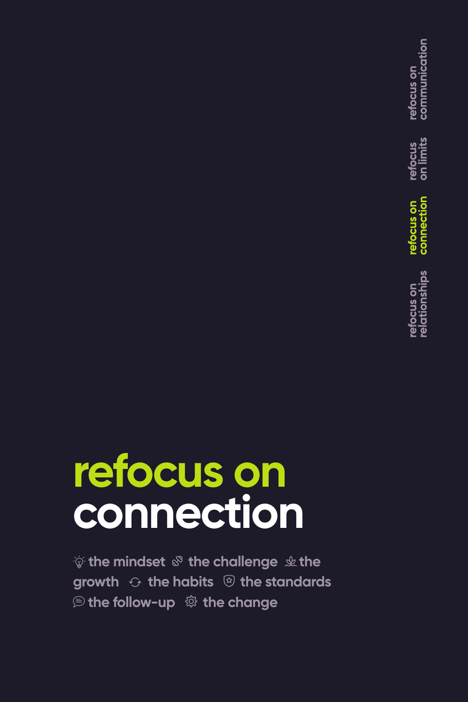communication refocus on refocus<br>on limits efocus on efocus on<br>elationships

# **refocus on connection**

 $\psi$  the mindset  $\mathcal{F}$  the challenge  $\psi$  the **growth**  $\odot$  **the habits**  $\circledR$  **the standards** *<b>E* the follow-up  $\ddot{\otimes}$  the change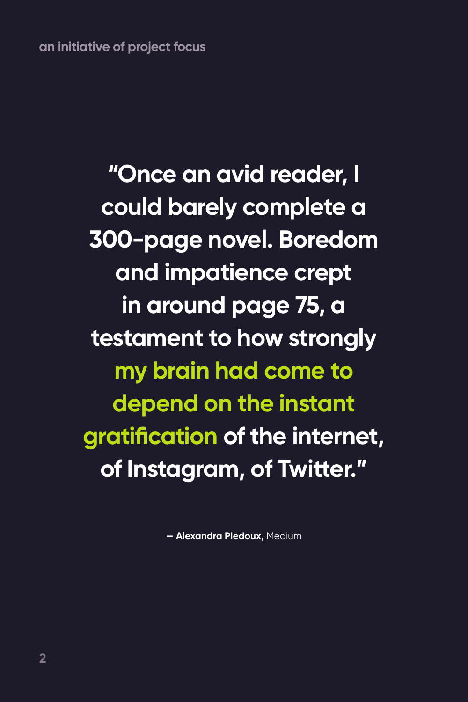**an initiative of project focus**

**"Once an avid reader, I could barely complete a 300-page novel. Boredom and impatience crept in around page 75, a testament to how strongly my brain had come to depend on the instant gratification of the internet, of Instagram, of Twitter."**

**— Alexandra Piedoux,** Medium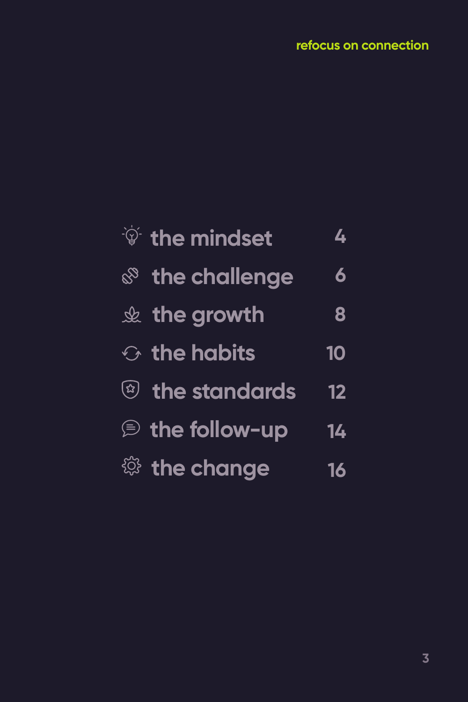#### **refocus on connection**

| $\mathcal{F}$ the mindset  | $\overline{\mathbf{L}}$ |
|----------------------------|-------------------------|
| & the challenge            | 6                       |
| $\&$ the growth            | 8                       |
| $\odot$ the habits         | 10                      |
| <sup>2</sup> the standards | 12                      |
| the follow-up              | 14                      |
| <sup>戀</sup> the change    | 16                      |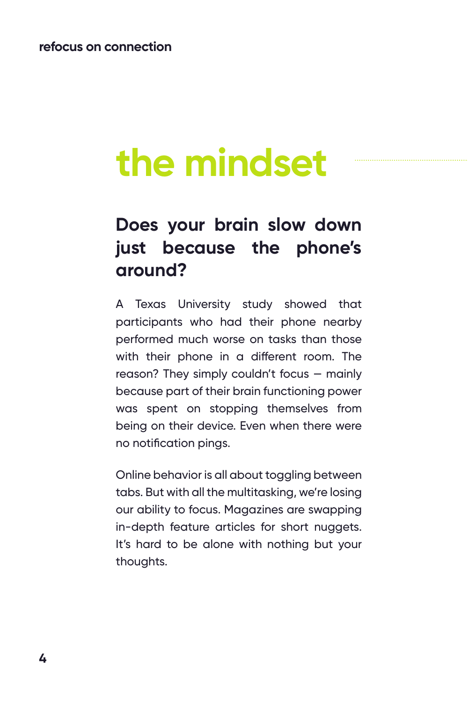## **the mindset**

### **Does your brain slow down just because the phone's around?**

A Texas University study showed that participants who had their phone nearby performed much worse on tasks than those with their phone in a different room. The reason? They simply couldn't focus — mainly because part of their brain functioning power was spent on stopping themselves from being on their device. Even when there were no notification pings.

Online behavior is all about toggling between tabs. But with all the multitasking, we're losing our ability to focus. Magazines are swapping in-depth feature articles for short nuggets. It's hard to be alone with nothing but your thoughts.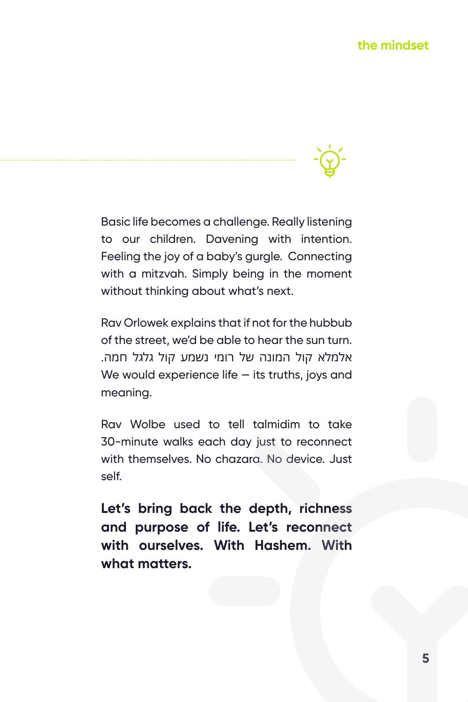Basic life becomes a challenge. Really listening to our children. Davening with intention. Feeling the joy of a baby's gurgle. Connecting with a mitzvah. Simply being in the moment without thinking about what's next.

Rav Orlowek explains that if not for the hubbub of the street, we'd be able to hear the sun turn. אלמלא קול המונה של רומי נשמע קול גלגל חמה. We would experience life  $-$  its truths, joys and meaning.

Rav Wolbe used to tell talmidim to take 30-minute walks each day just to reconnect with themselves. No chazara. No device. Just self.

**Let's bring back the depth, richness and purpose of life. Let's reconnect with ourselves. With Hashem. With what matters.**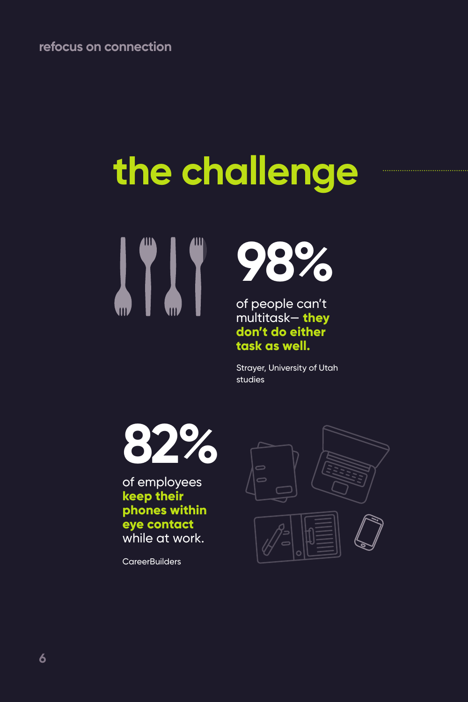# **the challenge**





of people can't multitask— **they don't do either task as well.**

Strayer, University of Utah studies



of employees **keep their phones within eye contact** while at work.

**CareerBuilders** 

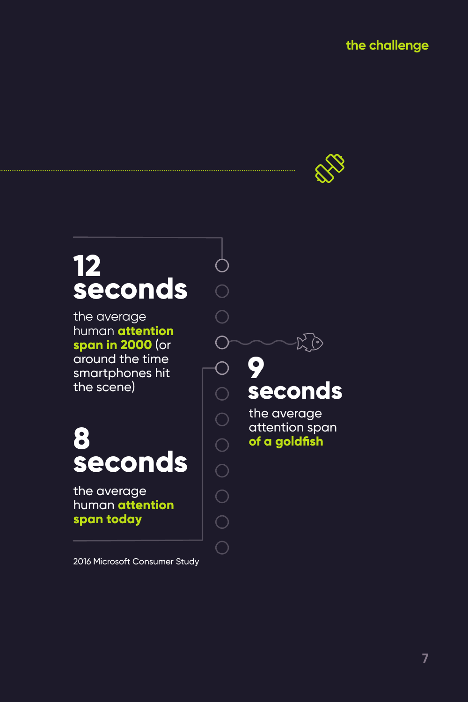

## **12 seconds**

the average human **attention span in 2000** (or around the time smartphones hit the scene)

## **8 seconds**

the average human **attention span today**

2016 Microsoft Consumer Study

## **9 seconds**

 $\overline{O}$ 

 $\bigcap$ 

 $\overline{\bigcirc}$ 

 $\overline{O}$ 

the average attention span **of a goldfish**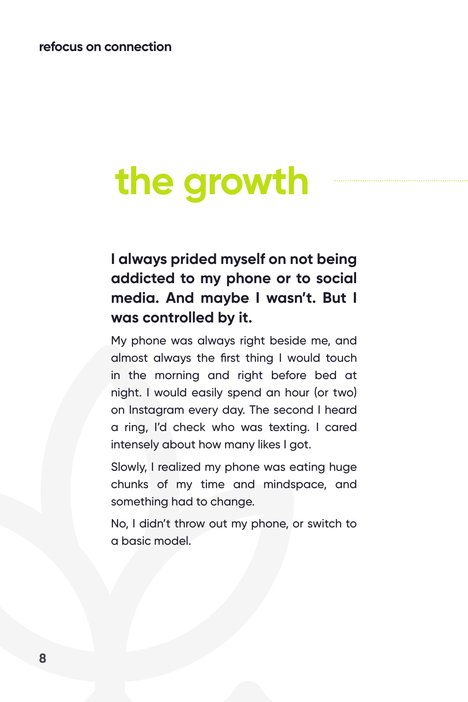## **the growth**

#### **I always prided myself on not being addicted to my phone or to social media. And maybe I wasn't. But I was controlled by it.**

My phone was always right beside me, and almost always the first thing I would touch in the morning and right before bed at night. I would easily spend an hour (or two) on Instagram every day. The second I heard a ring, I'd check who was texting. I cared intensely about how many likes I got.

Slowly, I realized my phone was eating huge chunks of my time and mindspace, and something had to change.

No, I didn't throw out my phone, or switch to a basic model.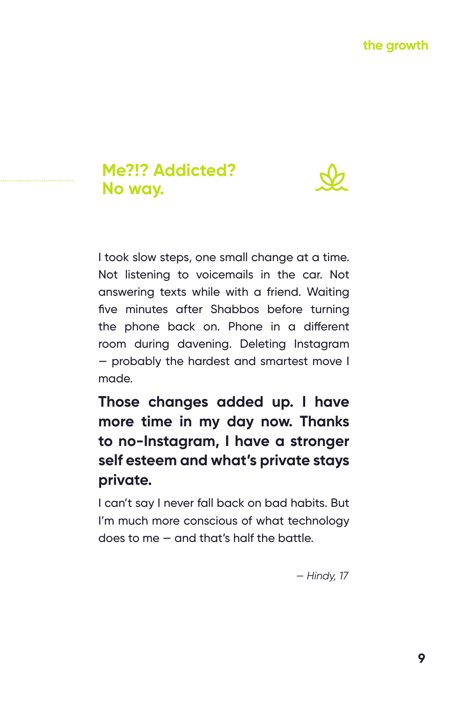#### **Me?!? Addicted? No way.**



I took slow steps, one small change at a time. Not listening to voicemails in the car. Not answering texts while with a friend. Waiting five minutes after Shabbos before turning the phone back on. Phone in a different room during davening. Deleting Instagram — probably the hardest and smartest move I made.

**Those changes added up. I have more time in my day now. Thanks to no-Instagram, I have a stronger self esteem and what's private stays private.** 

I can't say I never fall back on bad habits. But I'm much more conscious of what technology does to me — and that's half the battle.

*— Hindy, 17*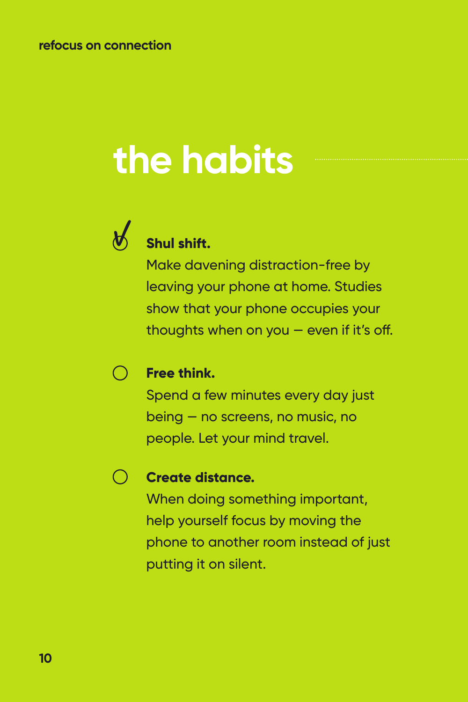# **the habits**



### **Shul shift.**

Make davening distraction-free by leaving your phone at home. Studies show that your phone occupies your thoughts when on you  $-$  even if it's off.

#### $(\ )$ **Free think.**

Spend a few minutes every day just being — no screens, no music, no people. Let your mind travel.

#### $\bigcap$ **Create distance.**

When doing something important, help yourself focus by moving the phone to another room instead of just putting it on silent.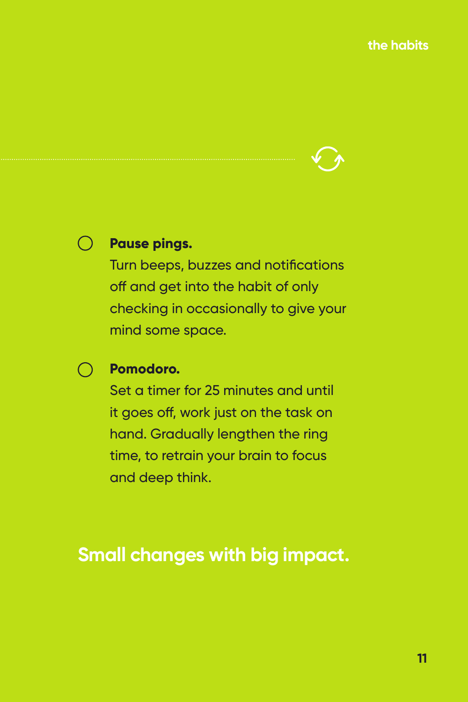

#### **Pause pings.**

Turn beeps, buzzes and notifications off and get into the habit of only checking in occasionally to give your mind some space.

#### **Pomodoro.**

Set a timer for 25 minutes and until it goes off, work just on the task on hand. Gradually lengthen the ring time, to retrain your brain to focus and deep think.

### **Small changes with big impact.**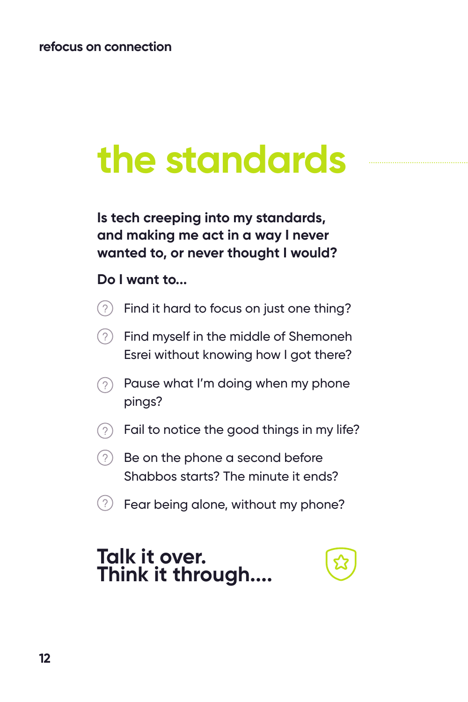## **the standards**

**Is tech creeping into my standards, and making me act in a way I never wanted to, or never thought I would?** 

#### **Do I want to...**

- $(2)$ Find it hard to focus on just one thing?
- Find myself in the middle of Shemoneh Esrei without knowing how I got there?
- Pause what I'm doing when my phone  $(2)$ pings?
- $\odot$  Fail to notice the good things in my life?
- $(2)$  Be on the phone a second before Shabbos starts? The minute it ends?
- $(2)$  Fear being alone, without my phone?

### **Talk it over. Think it through....**

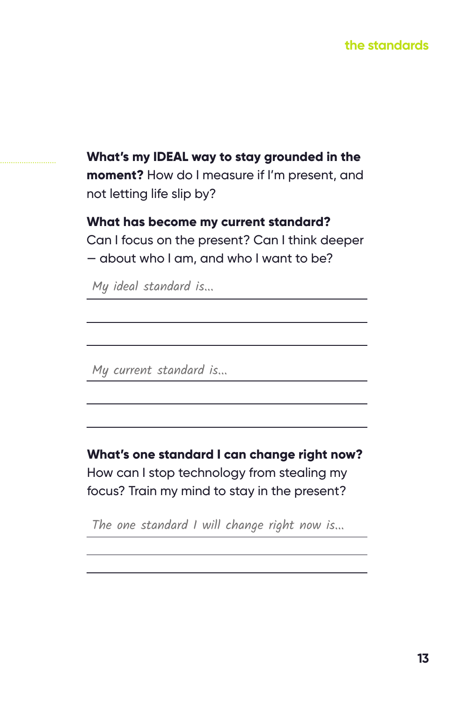#### **the standards**

**What's my IDEAL way to stay grounded in the moment?** How do I measure if I'm present, and not letting life slip by?

**What has become my current standard?**  Can I focus on the present? Can I think deeper — about who I am, and who I want to be?

My ideal standard is...

My current standard is...

**What's one standard I can change right now?**  How can I stop technology from stealing my focus? Train my mind to stay in the present?

The one standard I will change right now is...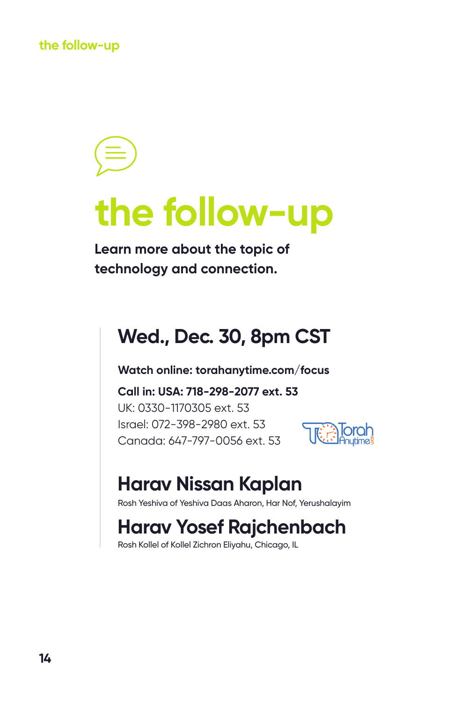**the follow-up**

## **the follow-up**

**Learn more about the topic of technology and connection.**

### **Wed., Dec. 30, 8pm CST**

**Watch online: torahanytime.com/focus**

**Call in: USA: 718-298-2077 ext. 53** UK: 0330-1170305 ext. 53 Israel: 072-398-2980 ext. 53 Canada: 647-797-0056 ext. 53



### **Harav Nissan Kaplan**

Rosh Yeshiva of Yeshiva Daas Aharon, Har Nof, Yerushalayim

### **Harav Yosef Rajchenbach**

Rosh Kollel of Kollel Zichron Eliyahu, Chicago, IL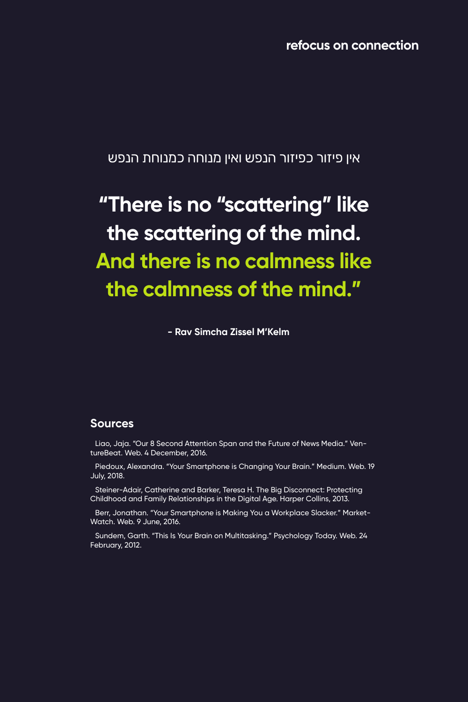**refocus on connection**

אין פיזור כפיזור הנפש ואין מנוחה כמנוחת הנפש

## **"There is no "scattering" like the scattering of the mind. And there is no calmness like the calmness of the mind."**

**- Rav Simcha Zissel M'Kelm**

#### **Sources**

Liao, Jaja. "Our 8 Second Attention Span and the Future of News Media." VentureBeat. Web. 4 December, 2016.

Piedoux, Alexandra. "Your Smartphone is Changing Your Brain." Medium. Web. 19 July, 2018.

Steiner-Adair, Catherine and Barker, Teresa H. The Big Disconnect: Protecting Childhood and Family Relationships in the Digital Age. Harper Collins, 2013.

Berr, Jonathan. "Your Smartphone is Making You a Workplace Slacker." Market-Watch. Web. 9 June, 2016.

Sundem, Garth. "This Is Your Brain on Multitasking." Psychology Today. Web. 24 February, 2012.